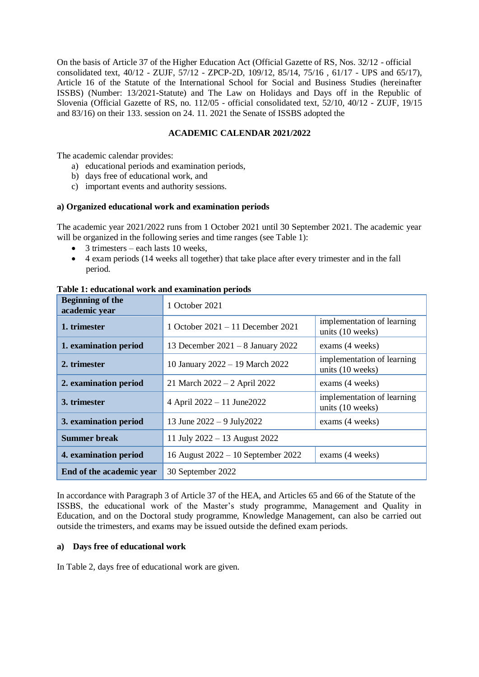On the basis of Article 37 of the Higher Education Act (Official Gazette of RS, Nos. 32/12 - official consolidated text, 40/12 - ZUJF, 57/12 - ZPCP-2D, 109/12, 85/14, 75/16 , 61/17 - UPS and 65/17), Article 16 of the Statute of the International School for Social and Business Studies (hereinafter ISSBS) (Number: 13/2021-Statute) and The Law on Holidays and Days off in the Republic of Slovenia (Official Gazette of RS, no. 112/05 - official consolidated text, 52/10, 40/12 - ZUJF, 19/15 and 83/16) on their 133. session on 24. 11. 2021 the Senate of ISSBS adopted the

# **ACADEMIC CALENDAR 2021/2022**

The academic calendar provides:

- a) educational periods and examination periods,
- b) days free of educational work, and
- c) important events and authority sessions.

# **a) Organized educational work and examination periods**

The academic year 2021/2022 runs from 1 October 2021 until 30 September 2021. The academic year will be organized in the following series and time ranges (see Table 1):

- 3 trimesters each lasts 10 weeks,
- 4 exam periods (14 weeks all together) that take place after every trimester and in the fall period.

| <b>Beginning of the</b><br>academic year | 1 October 2021                      |                                                |
|------------------------------------------|-------------------------------------|------------------------------------------------|
| 1. trimester                             | 1 October $2021 - 11$ December 2021 | implementation of learning<br>units (10 weeks) |
| 1. examination period                    | 13 December $2021 - 8$ January 2022 | exams (4 weeks)                                |
| 2. trimester                             | 10 January 2022 - 19 March 2022     | implementation of learning<br>units (10 weeks) |
| 2. examination period                    | 21 March $2022 - 2$ April 2022      | exams (4 weeks)                                |
| 3. trimester                             | 4 April $2022 - 11$ June 2022       | implementation of learning<br>units (10 weeks) |
| 3. examination period                    | 13 June $2022 - 9$ July 2022        | exams (4 weeks)                                |
| <b>Summer break</b>                      | 11 July $2022 - 13$ August 2022     |                                                |
| 4. examination period                    | 16 August 2022 - 10 September 2022  | exams (4 weeks)                                |
| End of the academic year                 | 30 September 2022                   |                                                |

**Table 1: educational work and examination periods**

In accordance with Paragraph 3 of Article 37 of the HEA, and Articles 65 and 66 of the Statute of the ISSBS, the educational work of the Master's study programme, Management and Quality in Education, and on the Doctoral study programme, Knowledge Management, can also be carried out outside the trimesters, and exams may be issued outside the defined exam periods.

# **a) Days free of educational work**

In Table 2, days free of educational work are given.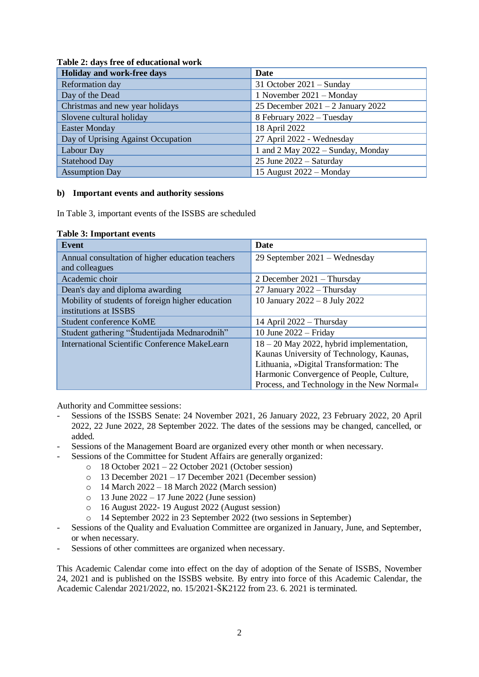| Holiday and work-free days         | Date                                |  |
|------------------------------------|-------------------------------------|--|
| Reformation day                    | 31 October $2021 -$ Sunday          |  |
| Day of the Dead                    | 1 November 2021 – Monday            |  |
| Christmas and new year holidays    | 25 December 2021 $-2$ January 2022  |  |
| Slovene cultural holiday           | 8 February 2022 - Tuesday           |  |
| <b>Easter Monday</b>               | 18 April 2022                       |  |
| Day of Uprising Against Occupation | 27 April 2022 - Wednesday           |  |
| Labour Day                         | 1 and 2 May $2022 -$ Sunday, Monday |  |
| <b>Statehood Day</b>               | 25 June $2022 -$ Saturday           |  |
| <b>Assumption Day</b>              | 15 August $2022 - \text{Monday}$    |  |

# **Table 2: days free of educational work**

# **b) Important events and authority sessions**

In Table 3, important events of the ISSBS are scheduled

# **Table 3: Important events**

| <b>Event</b>                                     | Date                                       |
|--------------------------------------------------|--------------------------------------------|
| Annual consultation of higher education teachers | 29 September 2021 – Wednesday              |
| and colleagues                                   |                                            |
| Academic choir                                   | 2 December $2021 - Thursday$               |
| Dean's day and diploma awarding                  | 27 January 2022 - Thursday                 |
| Mobility of students of foreign higher education | 10 January 2022 - 8 July 2022              |
| institutions at ISSBS                            |                                            |
| Student conference KoME                          | 14 April $2022 - Thursday$                 |
| Student gathering "Študentijada Mednarodnih"     | 10 June $2022$ – Friday                    |
| International Scientific Conference MakeLearn    | $18 - 20$ May 2022, hybrid implementation, |
|                                                  | Kaunas University of Technology, Kaunas,   |
|                                                  | Lithuania, »Digital Transformation: The    |
|                                                  | Harmonic Convergence of People, Culture,   |
|                                                  | Process, and Technology in the New Normal« |

Authority and Committee sessions:

- Sessions of the ISSBS Senate: 24 November 2021, 26 January 2022, 23 February 2022, 20 April 2022, 22 June 2022, 28 September 2022. The dates of the sessions may be changed, cancelled, or added.
- Sessions of the Management Board are organized every other month or when necessary.
- Sessions of the Committee for Student Affairs are generally organized:
	- o 18 October 2021 22 October 2021 (October session)
	- o 13 December 2021 17 December 2021 (December session)
	- $\circ$  14 March 2022 18 March 2022 (March session)
	- $\circ$  13 June 2022 17 June 2022 (June session)
	- o 16 August 2022- 19 August 2022 (August session)
	- o 14 September 2022 in 23 September 2022 (two sessions in September)
- Sessions of the Quality and Evaluation Committee are organized in January, June, and September, or when necessary.
- Sessions of other committees are organized when necessary.

This Academic Calendar come into effect on the day of adoption of the Senate of ISSBS, November 24, 2021 and is published on the ISSBS website. By entry into force of this Academic Calendar, the Academic Calendar 2021/2022, no. 15/2021-ŠK2122 from 23. 6. 2021 is terminated.